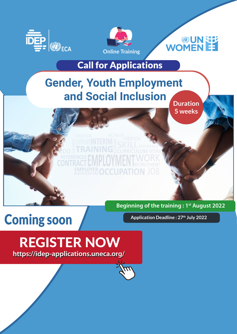





## Call for Applications

## **Gender, Youth Employment and Social Inclusion**

**Duration 5 weeks**

# Coming soon

**Beginning of the training : 1st August 2022**

**Application Deadline : 27th July 2022**

## REGISTER NOW **https://idep-applications.uneca.org/**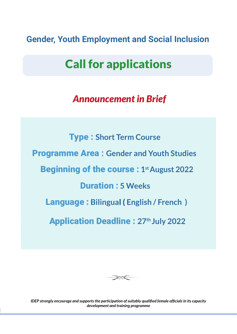**Gender, Youth Employment and Social Inclusion**

## Call for applications

## *Announcement in Brief*

 Type : **Short Term Course**  Programme Area **: Gender and Youth Studies Beginning of the course: 1st August 2022** Application Deadline : **27th July 2022** Duration : **5 Weeks** Language : **Bilingua**l ( **English / French )**



*IDEP strongly encourage and supports the participation of suitably qualified female officials in its capacity development and training programme*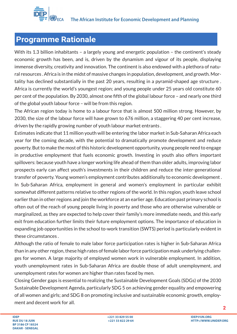

#### **Programme Rationale**

With its 1.3 billion inhabitants - a largely young and energetic population - the continent's steady economic growth has been, and is, driven by the dynamism and vigour of its people, displaying immense diversity, creativity and innovation. The continent is also endowed with a plethora of natural resources . Africa is in the midst of massive changes in population, development, and growth. Mortality has declined substantially in the past 20 years, resulting in a pyramid-shaped age structure . Africa is currently the world's youngest region; and young people under 25 years old constitute 60 per cent of the population. By 2030, almost one fifth of the global labour force – and nearly one third of the global youth labour force – will be from this region.

The African region today is home to a labour force that is almost 500 million strong. However, by 2030, the size of the labour force will have grown to 676 million, a staggering 40 per cent increase, driven by the rapidly growing number of youth labour market entrants .

Estimates indicate that 11 million youth will be entering the labor market in Sub-Saharan Africa each year for the coming decade, with the potential to dramatically promote development and reduce poverty. But to make the most of this historic development opportunity, young people need to engage in productive employment that fuels economic growth. Investing in youth also offers important spillovers: because youth have a longer working life ahead of them than older adults, improving labor prospects early can affect youth's investments in their children and reduce the inter-generational transfer of poverty. Young women's employment contributes additionally to economic development . In Sub-Saharan Africa, employment in general and women's employment in particular exhibit somewhat different patterns relative to other regions of the world. In this region, youth leave school earlier than in other regions and join the workforce at an earlier age. Education past primary school is often out of the reach of young people living in poverty and those who are otherwise vulnerable or marginalized, as they are expected to help cover their family's more immediate needs, and this early exit from education further limits their future employment options. The importance of education in expanding job opportunities in the school to-work transition (SWTS) period is particularly evident in these circumstances .

Although the ratio of female to male labor force participation rates is higher in Sub-Saharan Africa than in any other region, these high rates of female labor force participation mask underlying challenges for women. A large majority of employed women work in vulnerable employment. In addition, youth unemployment rates in Sub-Saharan Africa are double those of adult unemployment, and unemployment rates for women are higher than rates faced by men.

Closing Gender gaps is essential to realizing the Sustainable Development Goals (SDGs) of the 2030 Sustainable Development Agenda, particularly SDG 5 on achieving gender equality and empowering of all women and girls; and SDG 8 on promoting inclusive and sustainable economic growth, employment and decent work for all.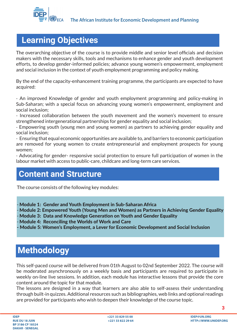

#### **Learning Objectives**

The overarching objective of the course is to provide middle and senior level officials and decision makers with the necessary skills, tools and mechanisms to enhance gender and youth development efforts, to develop gender-informed policies; advance young women's empowerment, employment and social inclusion in the context of youth employment programming and policy making.

By the end of the capacity-enhancement training programme, the participants are expected to have acquired:

- An improved Knowledge of gender and youth employment programming and policy-making in Sub-Saharan; with a special focus on advancing young women's empowerment, employment and social inclusion;

- Increased collaboration between the youth movement and the women's movement to ensure strengthened intergenerational partnerships for gender equality and social inclusion;

- Empowering youth (young men and young women) as partners to achieving gender equality and social inclusion;

- Ensuring that equal economic opportunities are available to, and barriers to economic participation are removed for young women to create entrepreneurial and employment prospects for young women;

- Advocating for gender- responsive social protection to ensure full participation of women in the labour market with access to public-care, childcare and long-term care services.

#### **Content and Structure**

The course consists of the following key modules:

Module 1: Gender and Youth Employment in Sub-Saharan Africa

Module 2: Empowered Youth (Young Men and Women) as Partners in Achieving Gender Equality

Module 3: Data and Knowledge Generation on Youth and Gender Equality

Module 4: Reconciling the Worlds of Work and Care

Module 5: Women's Employment, a Lever for Economic Development and Social Inclusion

## **Methodology**

This self-paced course will be delivered from 01th August to 02nd September 2022. The course will be moderated asynchronously on a weekly basis and participants are required to participate in weekly on-line live sessions. In addition, each module has interactive lessons that provide the core content around the topic for that module.

The lessons are designed in a way that learners are also able to self-assess their understanding through built-in quizzes. Additional resources such as bibliographies, web links and optional readings are provided for participants who wish to deepen their knowledge of the course topic.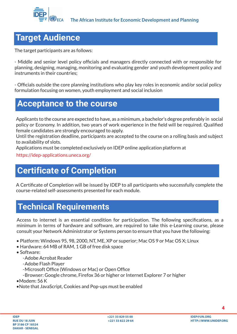

#### **Target Audience**

The target participants are as follows:

- Middle and senior level policy officials and managers directly connected with or responsible for planning, designing, managing, monitoring and evaluating gender and youth development policy and instruments in their countries;

- Officials outside the core planning institutions who play key roles in economic and/or social policy formulation focusing on women, youth employment and social inclusion

#### **Acceptance to the course**

Applicants to the course are expected to have, as a minimum, a bachelor's degree preferably in social policy or Economy. In addition, two years of work experience in the field will be required. Qualified female candidates are strongly encouraged to apply.

Until the registration deadline, participants are accepted to the course on a rolling basis and subject to availability of slots.

Applications must be completed exclusively on IDEP online application platform at

https://idep-applications.uneca.org/

## **Certificate of Completion**

A Certificate of Completion will be issued by IDEP to all participants who successfully complete the course-related self-assessments presented for each module.

#### **Technical Requirements**

Access to internet is an essential condition for participation. The following specifications, as a minimum in terms of hardware and software, are required to take this e-Learning course, please consult your Network Administrator or Systems person to ensure that you have the following:

- Platform: Windows 95, 98, 2000, NT, ME, XP or superior; Mac OS 9 or Mac OS X; Linux
- Hardware: 64 MB of RAM, 1 GB of free disk space
- Software:
	- Adobe Acrobat Reader
	- Adobe Flash Player
	- Microsoft Office (Windows or Mac) or Open Office
	- Browser: Google chrome, Firefox 36 or higher or Internet Explorer 7 or higher
- $•$ Modem: 56 K
- Note that JavaScript, Cookies and Pop-ups must be enabled